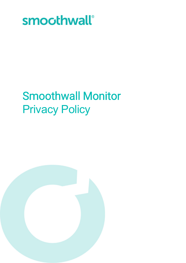

# Smoothwall Monitor Privacy Policy

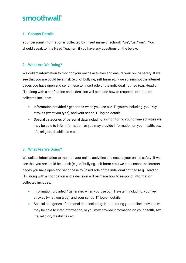### smoothwall®

#### 1. Contact Details

Your personal information is collected by [insert name of school] ("we"/"us"/"our"). You should speak to [the Head Teacher ] if you have any questions on the below.

#### 2. What Are We Doing?

We collect information to monitor your online activities and ensure your online safety. If we see that you are could be at risk (e.g. of bullying, self harm etc.) we screenshot the internet pages you have open and send these to [insert role of the individual notified (e.g. Head of IT)] along with a notification and a decision will be made how to respond. Information collected includes:

- Information provided / generated when you use our IT system including: your key strokes (what you type), and your school IT log-on details.
- Special categories of personal data including: in monitoring your online activities we may be able to infer information, or you may provide information on your health, sex life, religion, disabilities etc.

#### 3. What Are We Doing?

We collect information to monitor your online activities and ensure your online safety. If we see that you are could be at risk (e.g. of bullying, self harm etc.) we screenshot the internet pages you have open and send these to [insert role of the individual notified (e.g. Head of IT)] along with a notification and a decision will be made how to respond. Information collected includes:

- Information provided / generated when you use our IT system including: your key strokes (what you type), and your school IT log-on details.
- Special categories of personal data including: in monitoring your online activities we may be able to infer information, or you may provide information on your health, sex life, religion, disabilities etc.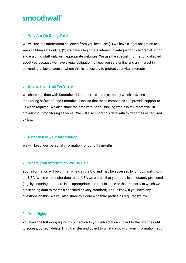### smoothwall®

#### 4. Why Are We Doing This?

We will use the information collected from you because: (1) we have a legal obligation to keep children safe online; (2) we have a legitimate interest in safeguarding children at school and ensuring staff only visit appropriate websites. We use the special information collected about you because we have a legal obligation to keep you safe online and an interest in preventing unlawful acts or where this is necessary to protect your vital interests.

#### 5. Information That We Share

We share this data with Smoothwall Limited (this is the company which provides our monitoring software) and Smoothwall Inc. so that these companies can provide support to us when required. We also share the data with Crisp Thinking who assist Smoothwall in providing our monitoring services. We will also share this data with third parties as required by law.

#### 6. Retention of Your Information

We will keep your personal information for up to 15 months.

#### 7. Where Your Information Will Be Held

Your information will be primarily held in the UK, and may be accessed by Smoothwall Inc. in the USA. When we transfer data to the USA we ensure that your data is adequately protected (e.g. by ensuring that there is an appropriate contract in place or that the party to which we are sending data to meets a specified privacy standard). Let us know if you have any questions on this. We will also share this data with third parties as required by law.

#### 8. Your Rights

You have the following rights in connection to your information subject to the law: the right to access, correct, delete, limit, transfer and object to what we do with your information. You